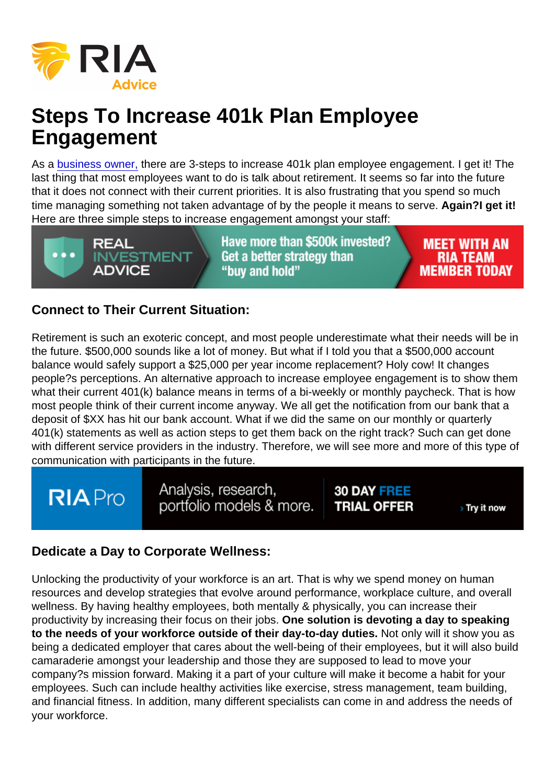# Steps To Increase 401k Plan Employee Engagement

As a [business owner,](https://realinvestmentadvice.com/leveling-up-the-401k-plan-advisor-in-todays-market/) there are 3-steps to increase 401k plan employee engagement. I get it! The last thing that most employees want to do is talk about retirement. It seems so far into the future that it does not connect with their current priorities. It is also frustrating that you spend so much time managing something not taken advantage of by the people it means to serve. Again?I get it! Here are three simple steps to increase engagement amongst your staff:

### Connect to Their Current Situation:

Retirement is such an exoteric concept, and most people underestimate what their needs will be in the future. \$500,000 sounds like a lot of money. But what if I told you that a \$500,000 account balance would safely support a \$25,000 per year income replacement? Holy cow! It changes people?s perceptions. An alternative approach to increase employee engagement is to show them what their current 401(k) balance means in terms of a bi-weekly or monthly paycheck. That is how most people think of their current income anyway. We all get the notification from our bank that a deposit of \$XX has hit our bank account. What if we did the same on our monthly or quarterly 401(k) statements as well as action steps to get them back on the right track? Such can get done with different service providers in the industry. Therefore, we will see more and more of this type of communication with participants in the future.

### Dedicate a Day to Corporate Wellness:

Unlocking the productivity of your workforce is an art. That is why we spend money on human resources and develop strategies that evolve around performance, workplace culture, and overall wellness. By having healthy employees, both mentally & physically, you can increase their productivity by increasing their focus on their jobs. One solution is devoting a day to speaking to the needs of your workforce outside of their day-to-day duties. Not only will it show you as being a dedicated employer that cares about the well-being of their employees, but it will also build camaraderie amongst your leadership and those they are supposed to lead to move your company?s mission forward. Making it a part of your culture will make it become a habit for your employees. Such can include healthy activities like exercise, stress management, team building, and financial fitness. In addition, many different specialists can come in and address the needs of your workforce.